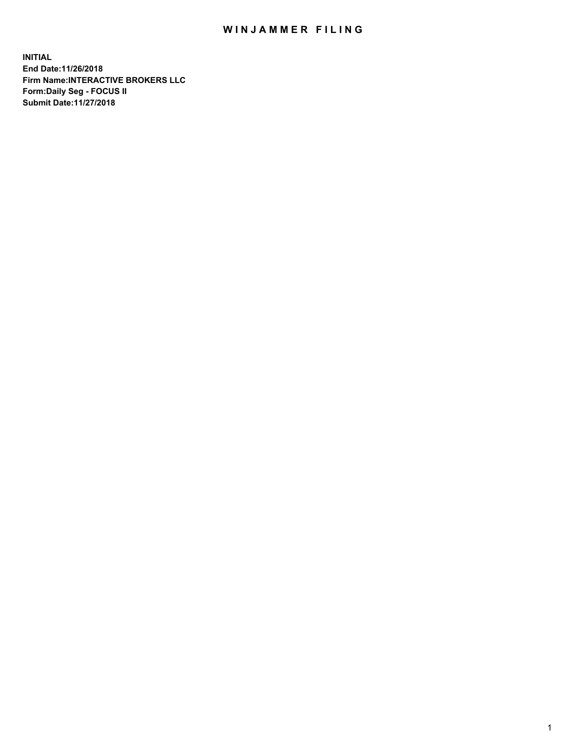## WIN JAMMER FILING

**INITIAL End Date:11/26/2018 Firm Name:INTERACTIVE BROKERS LLC Form:Daily Seg - FOCUS II Submit Date:11/27/2018**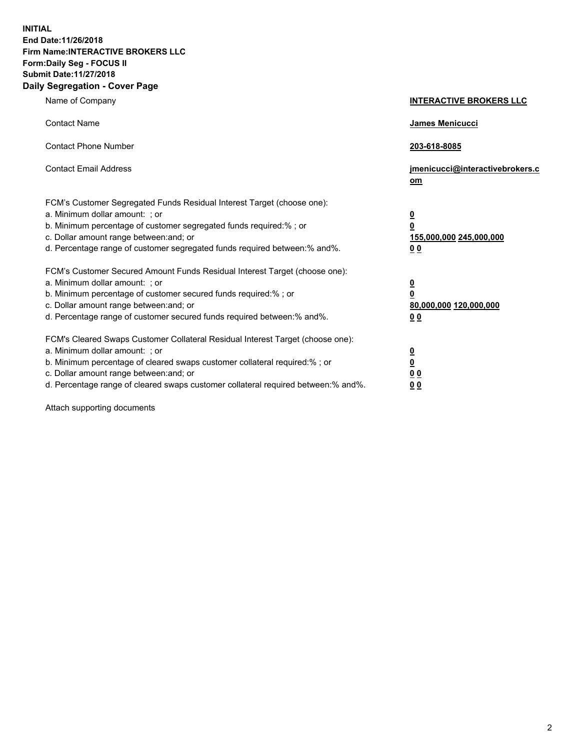**INITIAL End Date:11/26/2018 Firm Name:INTERACTIVE BROKERS LLC Form:Daily Seg - FOCUS II Submit Date:11/27/2018 Daily Segregation - Cover Page**

| Name of Company                                                                                                                                                                                                                                                                                                                | <b>INTERACTIVE BROKERS LLC</b>                                                                  |
|--------------------------------------------------------------------------------------------------------------------------------------------------------------------------------------------------------------------------------------------------------------------------------------------------------------------------------|-------------------------------------------------------------------------------------------------|
| <b>Contact Name</b>                                                                                                                                                                                                                                                                                                            | James Menicucci                                                                                 |
| <b>Contact Phone Number</b>                                                                                                                                                                                                                                                                                                    | 203-618-8085                                                                                    |
| <b>Contact Email Address</b>                                                                                                                                                                                                                                                                                                   | jmenicucci@interactivebrokers.c<br>om                                                           |
| FCM's Customer Segregated Funds Residual Interest Target (choose one):<br>a. Minimum dollar amount: ; or<br>b. Minimum percentage of customer segregated funds required:%; or<br>c. Dollar amount range between: and; or<br>d. Percentage range of customer segregated funds required between:% and%.                          | $\overline{\mathbf{0}}$<br>$\overline{\mathbf{0}}$<br>155,000,000 245,000,000<br>0 <sub>0</sub> |
| FCM's Customer Secured Amount Funds Residual Interest Target (choose one):<br>a. Minimum dollar amount: ; or<br>b. Minimum percentage of customer secured funds required:% ; or<br>c. Dollar amount range between: and; or<br>d. Percentage range of customer secured funds required between:% and%.                           | $\overline{\mathbf{0}}$<br>$\overline{\mathbf{0}}$<br>80,000,000 120,000,000<br>0 <sub>0</sub>  |
| FCM's Cleared Swaps Customer Collateral Residual Interest Target (choose one):<br>a. Minimum dollar amount: ; or<br>b. Minimum percentage of cleared swaps customer collateral required:% ; or<br>c. Dollar amount range between: and; or<br>d. Percentage range of cleared swaps customer collateral required between:% and%. | $\overline{\mathbf{0}}$<br>$\underline{\mathbf{0}}$<br>0 <sub>0</sub><br>0 <sub>0</sub>         |

Attach supporting documents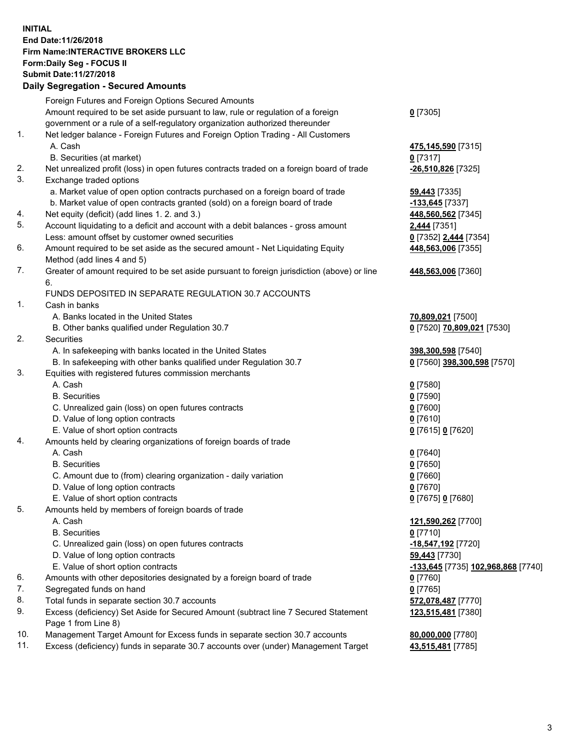## **INITIAL End Date:11/26/2018 Firm Name:INTERACTIVE BROKERS LLC Form:Daily Seg - FOCUS II Submit Date:11/27/2018 Daily Segregation - Secured Amounts**

|     | Daily Segregation - Secured Amounts                                                         |                                    |
|-----|---------------------------------------------------------------------------------------------|------------------------------------|
|     | Foreign Futures and Foreign Options Secured Amounts                                         |                                    |
|     | Amount required to be set aside pursuant to law, rule or regulation of a foreign            | $0$ [7305]                         |
|     | government or a rule of a self-regulatory organization authorized thereunder                |                                    |
| 1.  | Net ledger balance - Foreign Futures and Foreign Option Trading - All Customers             |                                    |
|     | A. Cash                                                                                     | 475,145,590 [7315]                 |
|     | B. Securities (at market)                                                                   | $0$ [7317]                         |
| 2.  | Net unrealized profit (loss) in open futures contracts traded on a foreign board of trade   | -26,510,826 [7325]                 |
| 3.  | Exchange traded options                                                                     |                                    |
|     | a. Market value of open option contracts purchased on a foreign board of trade              | <b>59,443</b> [7335]               |
|     | b. Market value of open contracts granted (sold) on a foreign board of trade                | -133,645 [7337]                    |
| 4.  | Net equity (deficit) (add lines 1. 2. and 3.)                                               | 448,560,562 [7345]                 |
| 5.  | Account liquidating to a deficit and account with a debit balances - gross amount           | 2,444 [7351]                       |
|     | Less: amount offset by customer owned securities                                            | 0 [7352] 2,444 [7354]              |
| 6.  | Amount required to be set aside as the secured amount - Net Liquidating Equity              | 448,563,006 [7355]                 |
|     | Method (add lines 4 and 5)                                                                  |                                    |
| 7.  | Greater of amount required to be set aside pursuant to foreign jurisdiction (above) or line | 448,563,006 [7360]                 |
|     | 6.                                                                                          |                                    |
|     | FUNDS DEPOSITED IN SEPARATE REGULATION 30.7 ACCOUNTS                                        |                                    |
| 1.  | Cash in banks                                                                               |                                    |
|     | A. Banks located in the United States                                                       | 70,809,021 [7500]                  |
|     | B. Other banks qualified under Regulation 30.7                                              | 0 [7520] 70,809,021 [7530]         |
| 2.  | Securities                                                                                  |                                    |
|     | A. In safekeeping with banks located in the United States                                   | 398,300,598 [7540]                 |
|     | B. In safekeeping with other banks qualified under Regulation 30.7                          | 0 [7560] 398,300,598 [7570]        |
| 3.  | Equities with registered futures commission merchants                                       |                                    |
|     | A. Cash                                                                                     | $0$ [7580]                         |
|     | <b>B.</b> Securities                                                                        | $0$ [7590]                         |
|     | C. Unrealized gain (loss) on open futures contracts                                         | $0$ [7600]                         |
|     | D. Value of long option contracts                                                           | $0$ [7610]                         |
|     | E. Value of short option contracts                                                          | 0 [7615] 0 [7620]                  |
| 4.  | Amounts held by clearing organizations of foreign boards of trade                           |                                    |
|     | A. Cash                                                                                     | $0$ [7640]                         |
|     | <b>B.</b> Securities                                                                        | $0$ [7650]                         |
|     | C. Amount due to (from) clearing organization - daily variation                             | $0$ [7660]                         |
|     | D. Value of long option contracts                                                           | $0$ [7670]                         |
|     | E. Value of short option contracts                                                          | 0 [7675] 0 [7680]                  |
| 5.  | Amounts held by members of foreign boards of trade                                          |                                    |
|     | A. Cash                                                                                     | 121,590,262 [7700]                 |
|     | <b>B.</b> Securities                                                                        | $0$ [7710]                         |
|     | C. Unrealized gain (loss) on open futures contracts                                         | -18,547,192 [7720]                 |
|     | D. Value of long option contracts                                                           | 59,443 [7730]                      |
|     | E. Value of short option contracts                                                          | -133,645 [7735] 102,968,868 [7740] |
| 6.  | Amounts with other depositories designated by a foreign board of trade                      | $0$ [7760]                         |
| 7.  | Segregated funds on hand                                                                    | $0$ [7765]                         |
| 8.  | Total funds in separate section 30.7 accounts                                               | 572,078,487 [7770]                 |
| 9.  | Excess (deficiency) Set Aside for Secured Amount (subtract line 7 Secured Statement         | 123,515,481 [7380]                 |
|     | Page 1 from Line 8)                                                                         |                                    |
| 10. | Management Target Amount for Excess funds in separate section 30.7 accounts                 | 80,000,000 [7780]                  |
| 11. | Excess (deficiency) funds in separate 30.7 accounts over (under) Management Target          | 43,515,481 [7785]                  |
|     |                                                                                             |                                    |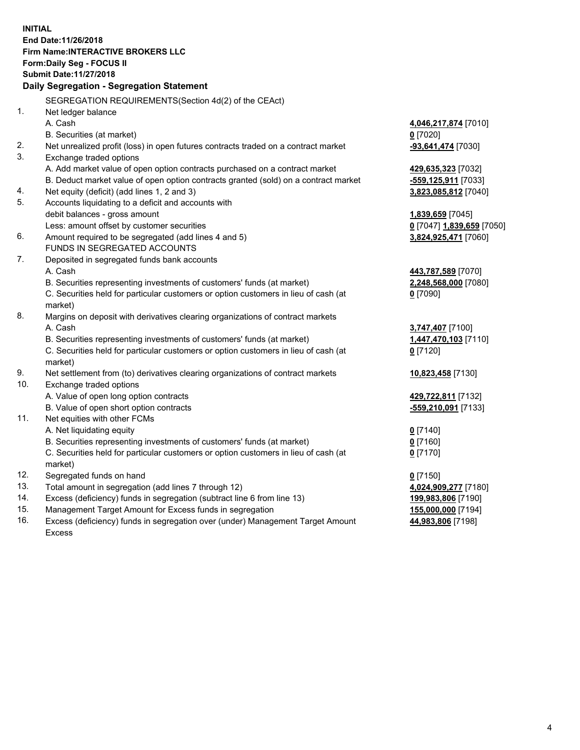**INITIAL End Date:11/26/2018 Firm Name:INTERACTIVE BROKERS LLC Form:Daily Seg - FOCUS II Submit Date:11/27/2018 Daily Segregation - Segregation Statement** SEGREGATION REQUIREMENTS(Section 4d(2) of the CEAct) 1. Net ledger balance A. Cash **4,046,217,874** [7010] B. Securities (at market) **0** [7020] 2. Net unrealized profit (loss) in open futures contracts traded on a contract market **-93,641,474** [7030] 3. Exchange traded options A. Add market value of open option contracts purchased on a contract market **429,635,323** [7032] B. Deduct market value of open option contracts granted (sold) on a contract market **-559,125,911** [7033] 4. Net equity (deficit) (add lines 1, 2 and 3) **3,823,085,812** [7040] 5. Accounts liquidating to a deficit and accounts with debit balances - gross amount **1,839,659** [7045] Less: amount offset by customer securities **0** [7047] **1,839,659** [7050] 6. Amount required to be segregated (add lines 4 and 5) **3,824,925,471** [7060] FUNDS IN SEGREGATED ACCOUNTS 7. Deposited in segregated funds bank accounts A. Cash **443,787,589** [7070] B. Securities representing investments of customers' funds (at market) **2,248,568,000** [7080] C. Securities held for particular customers or option customers in lieu of cash (at market) **0** [7090] 8. Margins on deposit with derivatives clearing organizations of contract markets A. Cash **3,747,407** [7100] B. Securities representing investments of customers' funds (at market) **1,447,470,103** [7110] C. Securities held for particular customers or option customers in lieu of cash (at market) **0** [7120] 9. Net settlement from (to) derivatives clearing organizations of contract markets **10,823,458** [7130] 10. Exchange traded options A. Value of open long option contracts **429,722,811** [7132] B. Value of open short option contracts **-559,210,091** [7133] 11. Net equities with other FCMs A. Net liquidating equity **0** [7140] B. Securities representing investments of customers' funds (at market) **0** [7160] C. Securities held for particular customers or option customers in lieu of cash (at market) **0** [7170] 12. Segregated funds on hand **0** [7150] 13. Total amount in segregation (add lines 7 through 12) **4,024,909,277** [7180] 14. Excess (deficiency) funds in segregation (subtract line 6 from line 13) **199,983,806** [7190] 15. Management Target Amount for Excess funds in segregation **155,000,000** [7194] **44,983,806** [7198]

16. Excess (deficiency) funds in segregation over (under) Management Target Amount Excess